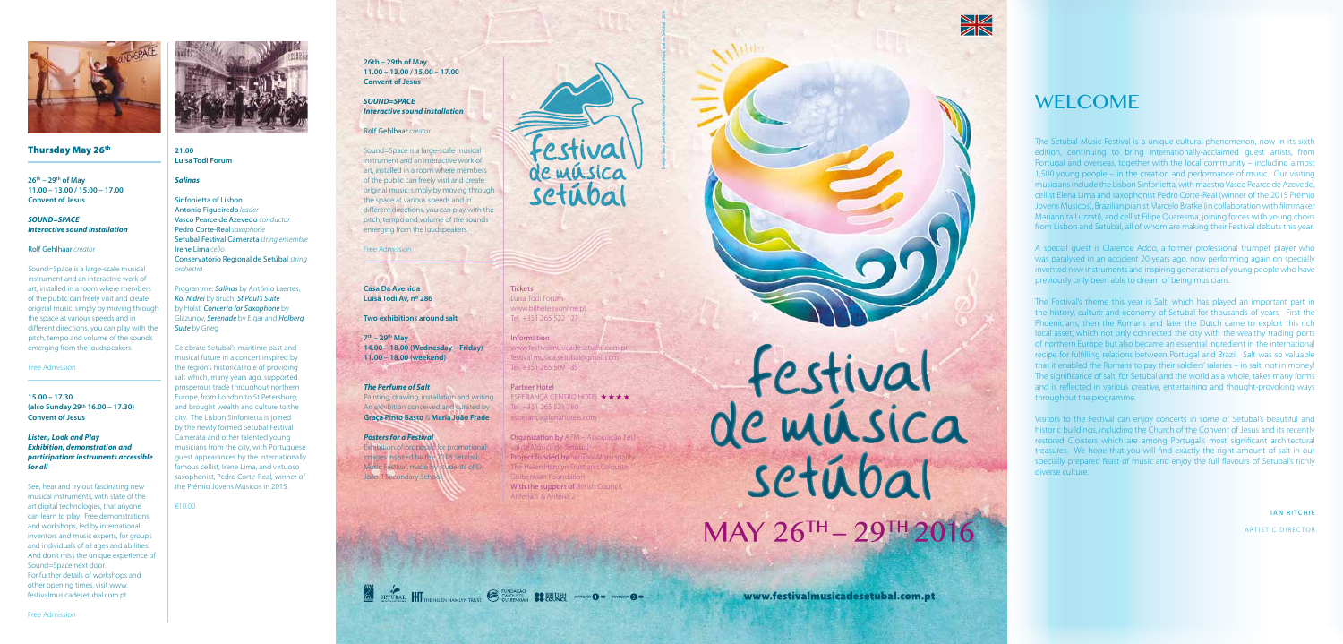

### Thursday May 26th

The Setubal Music Festival is a unique cultural phenomenon, now in its sixth edition, continuing to bring internationally-acclaimed guest artists, from Portugal and overseas, together with the local community – including almost 1,500 young people – in the creation and performance of music. Our visiting musicians include the Lisbon Sinfonietta, with maestro Vasco Pearce de Azevedo, cellist Elena Lima and saxophonist Pedro Corte-Real (winner of the 2015 Prémio Jovens Musicos), Brazilian pianist Marcelo Bratke (in collaboration with filmmaker Mariannita Luzzati), and cellist Filipe Quaresma, joining forces with young choirs from Lisbon and Setubal, all of whom are making their Festival debuts this year.

A special guest is Clarence Adoo, a former professional trumpet player who was paralysed in an accident 20 years ago, now performing again on specially invented new instruments and inspiring generations of young people who have previously only been able to dream of being musicians.

The Festival's theme this year is Salt, which has played an important part in the history, culture and economy of Setubal for thousands of years. First the Phoenicians, then the Romans and later the Dutch came to exploit this rich local asset, which not only connected the city with the wealthy trading ports of northern Europe but also became an essential ingredient in the international recipe for fulfilling relations between Portugal and Brazil. Salt was so valuable that it enabled the Romans to pay their soldiers' salaries – in salt, not in money! The significance of salt, for Setubal and the world as a whole, takes many forms and is reflected in various creative, entertaining and thought-provoking ways throughout the programme.

Visitors to the Festival can enjoy concerts in some of Setubal's beautiful and historic buildings, including the Church of the Convent of Jesus and its recently restored Cloisters which are among Portugal's most significant architectural treasures. We hope that you will find exactly the right amount of salt in our specially prepared feast of music and enjoy the full flavours of Setubal's richly diverse culture.

> IAN RITCHIE ARTISTIC DIRECTOR

**Tickets** Luisa Todi Forum www.bilheteiraonline.pt Tel. +351 265 522 127

**26th – 29th of May 11.00 – 13.00 / 15.00 – 17.00 Convent of Jesus**

> **Information** www.festivalmusicadesetubal.com.pt festival.musica.setubal@gmail.com Tel. +351 265 509 135

#### *SOUND=SPACE Interactive sound installation*

#### Rolf Gehlhaar *creator*

Organization by A7M - Associação Festival de Música de Setúbal Project funded by Setúbal Municipality The Helen Hamlyn Trust and Calouste Gulbenkian Foundation With the support of British Council. Antena 1 & Antena 2

SET DEAL HIT THE HELEN HAMLYN TRUST CALOUSTE OF BRITISH ANTECNE OF ATTEMPT OF

festival<br>de música MAY 26TH - 29TH 2016

Sound=Space is a large-scale musical instrument and an interactive work of art, installed in a room where members of the public can freely visit and create original music: simply by moving through the space at various speeds and in different directions, you can play with the pitch, tempo and volume of the sounds emerging from the loudspeakers.

#### Free Admission

**15.00 – 17.30 (also Sunday 29th 16.00 – 17.30) Convent of Jesus**

#### *Listen, Look and Play Exhibition, demonstration and participation: instruments accessible for all*

See, hear and try out fascinating new musical instruments, with state of the art digital technologies, that anyone can learn to play. Free demonstrations and workshops, led by international inventors and music experts, for groups and individuals of all ages and abilities. And don't miss the unique experience of Sound=Space next door. For further details of workshops and other opening times, visit www. festivalmusicadesetubal.com.pt



Free Admission



# **WELCOME**

#### **21.00 Luisa Todi Forum**

#### *Salinas*

Sinfonietta of Lisbon Antonio Figueiredo *leader*  Vasco Pearce de Azevedo *conductor* Pedro Corte-Real *saxophone* Setubal Festival Camerata *string ensemble* Irene Lima *cello*  Conservatório Regional de Setúbal *string orchestra*

Programme: *Salinas* by António Laertes, *Kol Nidrei* by Bruch, *St Paul's Suite*  by Holst, *Concerto for Saxophone* by Glazunov, *Serenade* by Elgar and *Holberg Suite* by Grieg

Celebrate Setubal's maritime past and musical future in a concert inspired by the region's historical role of providing salt which, many years ago, supported prosperous trade throughout northern Europe, from London to St Petersburg, and brought wealth and culture to the city. The Lisbon Sinfonietta is joined by the newly formed Setubal Festival Camerata and other talented young musicians from the city, with Portuguese guest appearances by the internationally famous cellist, Irene Lima, and virtuoso saxophonist, Pedro Corte-Real, winner of the Prémio Jovens Musicos in 2015.

€10.00

Partner Hotel ESPERANCA CENTRO HOTEL ★ ★ ★ ★ Tel: +351 265 521 780 esperanca@lunahoteis.com

**26th – 29th of May 11.00 – 13.00 / 15.00 – 17.00 Convent of Jesus**

# *SOUND=SPACE Interactive sound installation*

Rolf Gehlhaar *creator*

Sound=Space is a large-scale musical instrument and an interactive work of art, installed in a room where members of the public can freely visit and create original music: simply by moving through the space at various speeds and in different directions, you can play with the pitch, tempo and volume of the sounds emerging from the loudspeakers.

#### Free Admission

**Casa Da Avenida Luísa Todi Av, nº 286**

**Two exhibitions around salt**

**7th – 29th May 14.00 – 18.00 (Wednesday – Friday) 11.00 – 18.00 (weekend)**

#### *The Perfume of Salt*

Painting, drawing, installation and writing An exhibition conceived and curated by **Graça Pinto Basto** & **Maria João Frade**

#### *Posters for a Festival*

Exhibition of proposals for promotional images inspired by the 2016 Setubal Music Festival, made by students of D. João II Secondary School.



Design: Setor de Produção e Design Gráfico/SMCI, Câmara Municipal de Setúbal | 2016